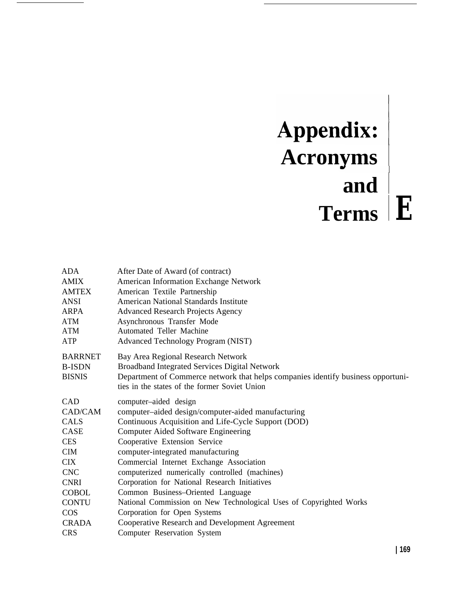## Appendix: **Acronyms and Terms E**

| ADA<br><b>AMIX</b><br><b>AMTEX</b><br><b>ANSI</b><br>ARPA<br>ATM<br>ATM<br>ATP | After Date of Award (of contract)<br>American Information Exchange Network<br>American Textile Partnership<br><b>American National Standards Institute</b><br><b>Advanced Research Projects Agency</b><br>Asynchronous Transfer Mode<br>Automated Teller Machine<br><b>Advanced Technology Program (NIST)</b> |
|--------------------------------------------------------------------------------|---------------------------------------------------------------------------------------------------------------------------------------------------------------------------------------------------------------------------------------------------------------------------------------------------------------|
| <b>BARRNET</b><br><b>B-ISDN</b><br><b>BISNIS</b>                               | Bay Area Regional Research Network<br><b>Broadband Integrated Services Digital Network</b><br>Department of Commerce network that helps companies identify business opportuni-<br>ties in the states of the former Soviet Union                                                                               |
| <b>CAD</b><br>CAD/CAM                                                          | computer-aided design<br>computer-aided design/computer-aided manufacturing                                                                                                                                                                                                                                   |
| <b>CALS</b>                                                                    | Continuous Acquisition and Life-Cycle Support (DOD)                                                                                                                                                                                                                                                           |
| CASE                                                                           | <b>Computer Aided Software Engineering</b>                                                                                                                                                                                                                                                                    |
| <b>CES</b>                                                                     | Cooperative Extension Service                                                                                                                                                                                                                                                                                 |
| <b>CIM</b>                                                                     | computer-integrated manufacturing                                                                                                                                                                                                                                                                             |
| <b>CIX</b>                                                                     | Commercial Internet Exchange Association                                                                                                                                                                                                                                                                      |
| <b>CNC</b>                                                                     | computerized numerically controlled (machines)                                                                                                                                                                                                                                                                |
| <b>CNRI</b>                                                                    | Corporation for National Research Initiatives                                                                                                                                                                                                                                                                 |
| <b>COBOL</b>                                                                   | Common Business-Oriented Language                                                                                                                                                                                                                                                                             |
| <b>CONTU</b>                                                                   | National Commission on New Technological Uses of Copyrighted Works                                                                                                                                                                                                                                            |
| <b>COS</b>                                                                     | Corporation for Open Systems                                                                                                                                                                                                                                                                                  |
| <b>CRADA</b>                                                                   | Cooperative Research and Development Agreement                                                                                                                                                                                                                                                                |
| <b>CRS</b>                                                                     | Computer Reservation System                                                                                                                                                                                                                                                                                   |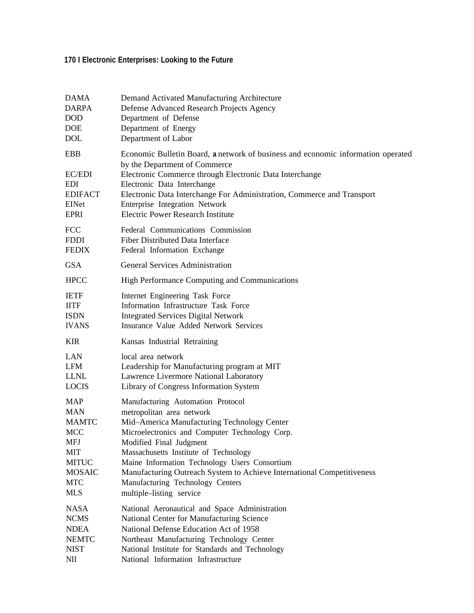## **170 I Electronic Enterprises: Looking to the Future**

| DAMA                                                                  | Demand Activated Manufacturing Architecture                                                                                                                                                                                                                                                                                                                         |
|-----------------------------------------------------------------------|---------------------------------------------------------------------------------------------------------------------------------------------------------------------------------------------------------------------------------------------------------------------------------------------------------------------------------------------------------------------|
| <b>DARPA</b>                                                          | Defense Advanced Research Projects Agency                                                                                                                                                                                                                                                                                                                           |
| <b>DOD</b>                                                            | Department of Defense                                                                                                                                                                                                                                                                                                                                               |
| <b>DOE</b>                                                            | Department of Energy                                                                                                                                                                                                                                                                                                                                                |
| <b>DOL</b>                                                            | Department of Labor                                                                                                                                                                                                                                                                                                                                                 |
| <b>EBB</b><br>EC/EDI<br><b>EDI</b><br><b>EDIFACT</b><br>EINet<br>EPRI | Economic Bulletin Board, a network of business and economic information operated<br>by the Department of Commerce<br>Electronic Commerce through Electronic Data Interchange<br>Electronic Data Interchange<br>Electronic Data Interchange For Administration, Commerce and Transport<br>Enterprise Integration Network<br><b>Electric Power Research Institute</b> |
| <b>FCC</b>                                                            | Federal Communications Commission                                                                                                                                                                                                                                                                                                                                   |
| <b>FDDI</b>                                                           | Fiber Distributed Data Interface                                                                                                                                                                                                                                                                                                                                    |
| <b>FEDIX</b>                                                          | Federal Information Exchange                                                                                                                                                                                                                                                                                                                                        |
| <b>GSA</b>                                                            | <b>General Services Administration</b>                                                                                                                                                                                                                                                                                                                              |
| <b>HPCC</b>                                                           | High Performance Computing and Communications                                                                                                                                                                                                                                                                                                                       |
| <b>IETF</b>                                                           | Internet Engineering Task Force                                                                                                                                                                                                                                                                                                                                     |
| <b>IITF</b>                                                           | Information Infrastructure Task Force                                                                                                                                                                                                                                                                                                                               |
| <b>ISDN</b>                                                           | <b>Integrated Services Digital Network</b>                                                                                                                                                                                                                                                                                                                          |
| <b>IVANS</b>                                                          | Insurance Value Added Network Services                                                                                                                                                                                                                                                                                                                              |
| <b>KIR</b>                                                            | Kansas Industrial Retraining                                                                                                                                                                                                                                                                                                                                        |
| LAN                                                                   | local area network                                                                                                                                                                                                                                                                                                                                                  |
| <b>LFM</b>                                                            | Leadership for Manufacturing program at MIT                                                                                                                                                                                                                                                                                                                         |
| <b>LLNL</b>                                                           | Lawrence Livermore National Laboratory                                                                                                                                                                                                                                                                                                                              |
| <b>LOCIS</b>                                                          | Library of Congress Information System                                                                                                                                                                                                                                                                                                                              |
| <b>MAP</b>                                                            | Manufacturing Automation Protocol                                                                                                                                                                                                                                                                                                                                   |
| <b>MAN</b>                                                            | metropolitan area network                                                                                                                                                                                                                                                                                                                                           |
| <b>MAMTC</b>                                                          | Mid-America Manufacturing Technology Center                                                                                                                                                                                                                                                                                                                         |
| <b>MCC</b>                                                            | Microelectronics and Computer Technology Corp.                                                                                                                                                                                                                                                                                                                      |
| MFJ                                                                   | Modified Final Judgment                                                                                                                                                                                                                                                                                                                                             |
| MIT                                                                   | Massachusetts Institute of Technology                                                                                                                                                                                                                                                                                                                               |
| <b>MITUC</b>                                                          | Maine Information Technology Users Consortium                                                                                                                                                                                                                                                                                                                       |
| <b>MOSAIC</b>                                                         | Manufacturing Outreach System to Achieve International Competitiveness                                                                                                                                                                                                                                                                                              |
| <b>MTC</b>                                                            | Manufacturing Technology Centers                                                                                                                                                                                                                                                                                                                                    |
| <b>MLS</b>                                                            | multiple-listing service                                                                                                                                                                                                                                                                                                                                            |
| <b>NASA</b>                                                           | National Aeronautical and Space Administration                                                                                                                                                                                                                                                                                                                      |
| <b>NCMS</b>                                                           | National Center for Manufacturing Science                                                                                                                                                                                                                                                                                                                           |
| <b>NDEA</b>                                                           | National Defense Education Act of 1958                                                                                                                                                                                                                                                                                                                              |
| <b>NEMTC</b>                                                          | Northeast Manufacturing Technology Center                                                                                                                                                                                                                                                                                                                           |
| <b>NIST</b>                                                           | National Institute for Standards and Technology                                                                                                                                                                                                                                                                                                                     |
| NII                                                                   | National Information Infrastructure                                                                                                                                                                                                                                                                                                                                 |